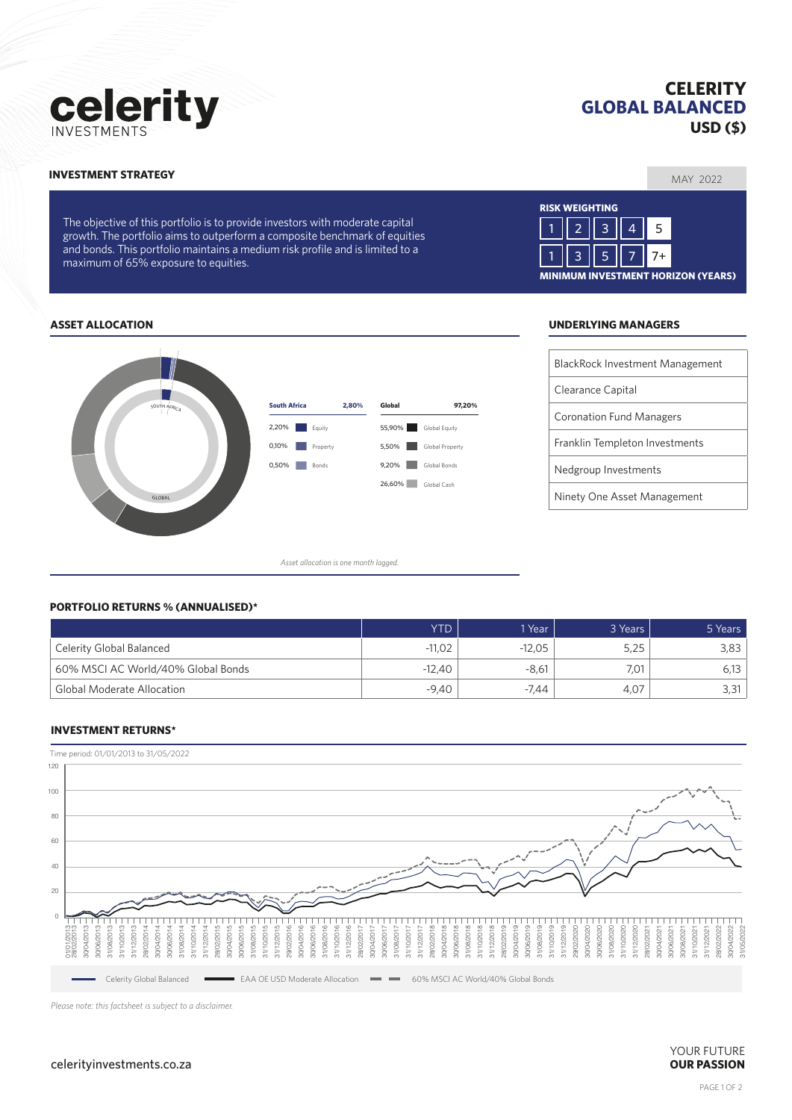# celerity

# **CELERITY GLOBAL BALANCED USD (\$)**

MAY 2022 **INVESTMENT STRATEGY**

The objective of this portfolio is to provide investors with moderate capital growth. The portfolio aims to outperform a composite benchmark of equities and bonds. This portfolio maintains a medium risk profile and is limited to a maximum of 65% exposure to equities.



### **ASSET ALLOCATION UNDERLYING MANAGERS**



*Asset allocation is one month lagged.*

| BlackRock Investment Management |
|---------------------------------|
| Clearance Capital               |
| <b>Coronation Fund Managers</b> |
| Franklin Templeton Investments  |
| Nedgroup Investments            |
| Ninety One Asset Management     |

#### **PORTFOLIO RETURNS % (ANNUALISED)\***

|                                    | <b>YTD</b> | 1 Year   | 3 Years | 5 Years |
|------------------------------------|------------|----------|---------|---------|
| Celerity Global Balanced           | $-11,02$   | $-12.05$ | 5,25    | 3,83    |
| 60% MSCI AC World/40% Global Bonds | $-12.40$   | $-8.61$  | 7.01    |         |
| <b>Global Moderate Allocation</b>  | $-9,40$    | -7.44    | 4.07    |         |

#### **INVESTMENT RETURNS\***



*Please note: this factsheet is subject to a disclaimer.*